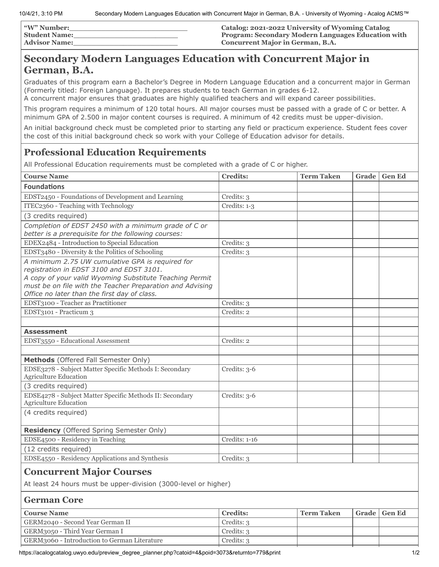| <b><i>"W"</i> Number:</b> | Catalog: 2021-2022 University of Wyoming Catalog          |
|---------------------------|-----------------------------------------------------------|
| <b>Student Name:</b>      | <b>Program: Secondary Modern Languages Education with</b> |
| <b>Advisor Name:</b>      | <b>Concurrent Major in German, B.A.</b>                   |

# **Secondary Modern Languages Education with Concurrent Major in German, B.A.**

Graduates of this program earn a Bachelor's Degree in Modern Language Education and a concurrent major in German (Formerly titled: Foreign Language). It prepares students to teach German in grades 6-12.

A concurrent major ensures that graduates are highly qualified teachers and will expand career possibilities.

This program requires a minimum of 120 total hours. All major courses must be passed with a grade of C or better. A minimum GPA of 2.500 in major content courses is required. A minimum of 42 credits must be upper-division.

An initial background check must be completed prior to starting any field or practicum experience. Student fees cover the cost of this initial background check so work with your College of Education advisor for details.

# **Professional Education Requirements**

All Professional Education requirements must be completed with a grade of C or higher.

| <b>Course Name</b>                                              | <b>Credits:</b> | <b>Term Taken</b> | Grade | <b>Gen Ed</b> |
|-----------------------------------------------------------------|-----------------|-------------------|-------|---------------|
| <b>Foundations</b>                                              |                 |                   |       |               |
| EDST2450 - Foundations of Development and Learning              | Credits: 3      |                   |       |               |
| ITEC2360 - Teaching with Technology                             | Credits: 1-3    |                   |       |               |
| (3 credits required)                                            |                 |                   |       |               |
| Completion of EDST 2450 with a minimum grade of C or            |                 |                   |       |               |
| better is a prerequisite for the following courses:             |                 |                   |       |               |
| EDEX2484 - Introduction to Special Education                    | Credits: 3      |                   |       |               |
| EDST3480 - Diversity & the Politics of Schooling                | Credits: 3      |                   |       |               |
| A minimum 2.75 UW cumulative GPA is required for                |                 |                   |       |               |
| registration in EDST 3100 and EDST 3101.                        |                 |                   |       |               |
| A copy of your valid Wyoming Substitute Teaching Permit         |                 |                   |       |               |
| must be on file with the Teacher Preparation and Advising       |                 |                   |       |               |
| Office no later than the first day of class.                    |                 |                   |       |               |
| EDST3100 - Teacher as Practitioner                              | Credits: 3      |                   |       |               |
| EDST3101 - Practicum 3                                          | Credits: 2      |                   |       |               |
|                                                                 |                 |                   |       |               |
| <b>Assessment</b>                                               |                 |                   |       |               |
| EDST3550 - Educational Assessment                               | Credits: 2      |                   |       |               |
|                                                                 |                 |                   |       |               |
| Methods (Offered Fall Semester Only)                            |                 |                   |       |               |
| EDSE3278 - Subject Matter Specific Methods I: Secondary         | Credits: 3-6    |                   |       |               |
| Agriculture Education                                           |                 |                   |       |               |
| (3 credits required)                                            |                 |                   |       |               |
| EDSE4278 - Subject Matter Specific Methods II: Secondary        | Credits: 3-6    |                   |       |               |
| Agriculture Education                                           |                 |                   |       |               |
| (4 credits required)                                            |                 |                   |       |               |
|                                                                 |                 |                   |       |               |
| Residency (Offered Spring Semester Only)                        |                 |                   |       |               |
| EDSE4500 - Residency in Teaching                                | Credits: 1-16   |                   |       |               |
| (12 credits required)                                           |                 |                   |       |               |
| EDSE4550 - Residency Applications and Synthesis                 | Credits: 3      |                   |       |               |
| <b>Concurrent Major Courses</b>                                 |                 |                   |       |               |
| At least 24 hours must be upper-division (3000-level or higher) |                 |                   |       |               |
| <b>German Core</b>                                              |                 |                   |       |               |
| <b>Course Name</b>                                              | <b>Credits:</b> | <b>Term Taken</b> | Grade | <b>Gen Ed</b> |
| GERM2040 - Second Year German II                                | Credits: 3      |                   |       |               |
| GERM3050 - Third Year German I                                  | Credits: 3      |                   |       |               |

GERM3060 - Introduction to German Literature | Credits: 3